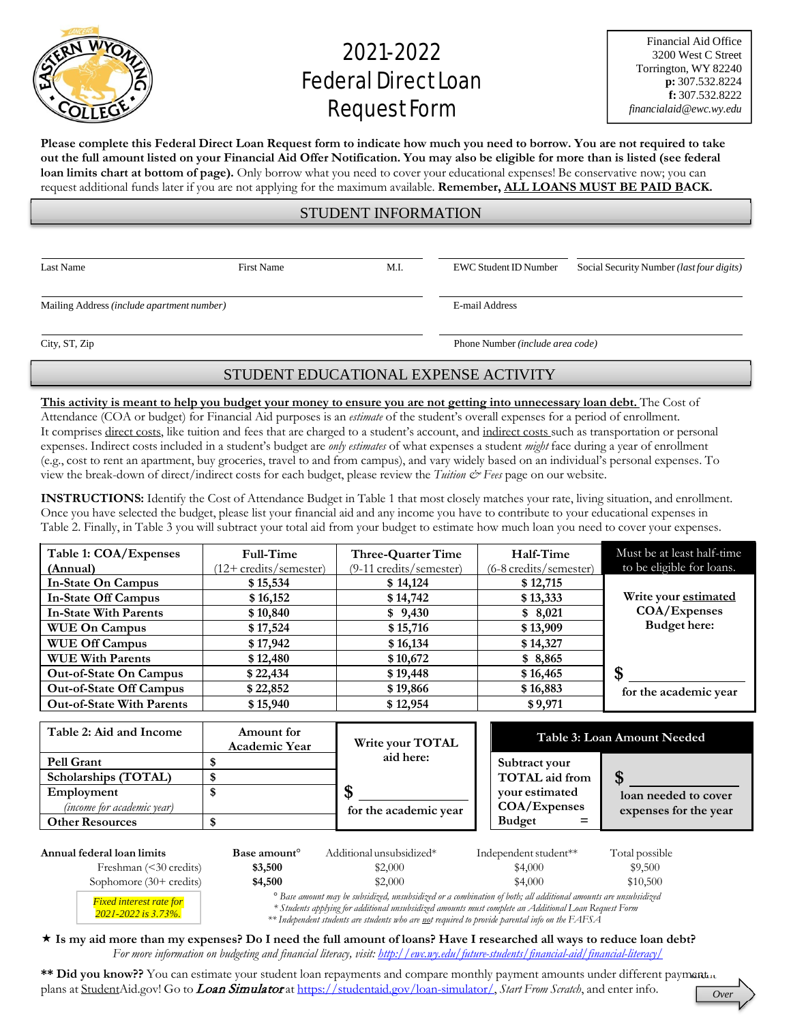

## 2021-2022 **Federal Direct Loan RequestForm**

| Financial Aid Office    |
|-------------------------|
| 3200 West C Street      |
| Torrington, WY 82240    |
| p: 307.532.8224         |
| f: 307.532.8222         |
| financialaid@ewc.wy.edu |

Please complete this Federal Direct Loan Request form to indicate how much you need to borrow. You are not required to take out the full amount listed on your Financial Aid Offer Notification. You may also be eligible for more than is listed (see federal **loan limits chart at bottom of page).** Only borrow what you need to cover your educational expenses! Be conservative now; you can request additional funds later if you are not applying for the maximum available. **Remember, ALL LOANS MUST BE PAID BACK.**

## STUDENT INFORMATION

Mailing Address *(include apartment number)* E-mail Address

*2021-2022 is 3.73%.*

Last Name First Name First Name M.I. EWC Student ID Number Social Security Number *(last four digits)* 

City, ST, Zip Phone Number *(include area code)*

## STUDENT EDUCATIONAL EXPENSE ACTIVITY

This activity is meant to help you budget your money to ensure you are not getting into unnecessary loan debt. The Cost of Attendance (COA or budget) for Financial Aid purposes is an *estimate* of the student's overall expenses for a period of enrollment. It comprises direct costs, like tuition and fees that are charged to a student's account, and indirect costs such as transportation or personal expenses. Indirect costs included in a student's budget are *only estimates* of what expenses a student *might* face during a year of enrollment (e.g., cost to rent an apartment, buy groceries, travel to and from campus), and vary widely based on an individual's personal expenses. To view the break-down of direct/indirect costs for each budget, please review the *Tuition & Fees* page on our website.

**INSTRUCTIONS:** Identify the Cost of Attendance Budget in Table 1 that most closely matches your rate, living situation, and enrollment. Once you have selected the budget, please list your financial aid and any income you have to contribute to your educational expenses in Table 2. Finally, in Table 3 you will subtract your total aid from your budget to estimate how much loan you need to cover your expenses.

| Table 1: COA/Expenses<br>(Annual) | Full-Time<br>(12+ credits/semester) | Three-Quarter Time<br>(9-11 credits/semester) | Half-Time<br>$(6-8 \text{ credits/semester})$ | Must be at least half-time<br>to be eligible for loans. |
|-----------------------------------|-------------------------------------|-----------------------------------------------|-----------------------------------------------|---------------------------------------------------------|
| In-State On Campus                | \$15,534                            | \$14,124                                      | \$12,715                                      |                                                         |
| <b>In-State Off Campus</b>        | \$16,152                            | \$14,742                                      | \$13,333                                      | Write your estimated                                    |
| <b>In-State With Parents</b>      | \$10,840                            | \$9,430                                       | \$8,021                                       | COA/Expenses                                            |
| <b>WUE On Campus</b>              | \$17,524                            | \$15,716                                      | \$13,909                                      | Budget here:                                            |
| <b>WUE Off Campus</b>             | \$17,942                            | \$16,134                                      | \$14,327                                      |                                                         |
| <b>WUE With Parents</b>           | \$12,480                            | \$10,672                                      | \$8,865                                       |                                                         |
| <b>Out-of-State On Campus</b>     | \$22,434                            | \$19,448                                      | \$16,465                                      | \$                                                      |
| <b>Out-of-State Off Campus</b>    | \$22,852                            | \$19,866                                      | \$16,883                                      | for the academic year                                   |
| <b>Out-of-State With Parents</b>  | \$15,940                            | \$12,954                                      | \$9,971                                       |                                                         |

| Table 2: Aid and Income           | Amount for<br>Academic Year | Write your TOTAL      |                | Table 3: Loan Amount Needed |
|-----------------------------------|-----------------------------|-----------------------|----------------|-----------------------------|
| <b>Pell Grant</b>                 |                             | aid here:             | Subtract your  |                             |
| Scholarships (TOTAL)              |                             |                       | TOTAL aid from |                             |
| Employment                        |                             |                       | vour estimated | loan needed to cover        |
| <i>(income for academic year)</i> |                             | for the academic year | COA/Expenses   | expenses for the year       |
| <b>Other Resources</b>            |                             |                       | <b>Budget</b>  |                             |
|                                   |                             |                       |                |                             |

| Annual federal loan limits        | Base amount | Additional unsubsidized*                                                                                                                                                                                                                                                                                                                                      | Independent student** | Total possible |
|-----------------------------------|-------------|---------------------------------------------------------------------------------------------------------------------------------------------------------------------------------------------------------------------------------------------------------------------------------------------------------------------------------------------------------------|-----------------------|----------------|
| Freshman $(30 \text{ credits})$   | \$3,500     | \$2,000                                                                                                                                                                                                                                                                                                                                                       | \$4,000               | \$9,500        |
| Sophomore $(30 + \text{credits})$ | \$4,500     | \$2,000                                                                                                                                                                                                                                                                                                                                                       | \$4,000               | \$10,500       |
| <b>Fixed interest rate for</b>    |             | <sup>o</sup> Base amount may be subsidized, unsubsidized or a combination of both; all additional amounts are unsubsidized<br>$\ast$ Continuous of the contract of the contract $f$ and $f$ and $f$ and $f$ and $f$ and $f$ and $f$ and $f$ and $f$ and $f$ and $f$ and $f$ and $f$ and $f$ and $f$ and $f$ and $f$ and $f$ and $f$ and $f$ and $f$ and $f$ a |                       |                |

*\* Students applying for additional unsubsidized amounts must complete an Additional Loan Request Form*

*\*\* Independent students are students who are not required to provide parental info on the FAFSA*

 **Is my aid more than my expenses? Do I need the full amount of loans? Have I researched all ways to reduce loan debt?** *For more information on budgeting and financial literacy, visit: <http://ewc.wy.edu/future-students/financial-aid/financial-literacy/>*

\*\* Did you know?? You can estimate your student loan repayments and compare monthly payment amounts under different payment. plans at <u>Student</u>Aid.gov! Go to *Loan Simulator* at https://studentaid.gov/loan-simulator/, *Start From Scratch*, and enter info.